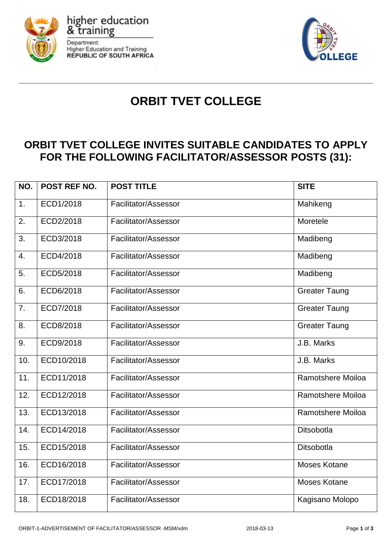

higher education

**Higher Education and Training REPUBLIC OF SOUTH AFRICA** 

& training

Department:



# **ORBIT TVET COLLEGE**

# **ORBIT TVET COLLEGE INVITES SUITABLE CANDIDATES TO APPLY FOR THE FOLLOWING FACILITATOR/ASSESSOR POSTS (31):**

| NO.              | POST REF NO. | <b>POST TITLE</b>    | <b>SITE</b>          |
|------------------|--------------|----------------------|----------------------|
| 1.               | ECD1/2018    | Facilitator/Assessor | Mahikeng             |
| 2.               | ECD2/2018    | Facilitator/Assessor | Moretele             |
| 3.               | ECD3/2018    | Facilitator/Assessor | Madibeng             |
| $\overline{4}$ . | ECD4/2018    | Facilitator/Assessor | Madibeng             |
| 5.               | ECD5/2018    | Facilitator/Assessor | Madibeng             |
| 6.               | ECD6/2018    | Facilitator/Assessor | <b>Greater Taung</b> |
| 7.               | ECD7/2018    | Facilitator/Assessor | <b>Greater Taung</b> |
| 8.               | ECD8/2018    | Facilitator/Assessor | <b>Greater Taung</b> |
| 9.               | ECD9/2018    | Facilitator/Assessor | J.B. Marks           |
| 10.              | ECD10/2018   | Facilitator/Assessor | J.B. Marks           |
| 11.              | ECD11/2018   | Facilitator/Assessor | Ramotshere Moiloa    |
| 12.              | ECD12/2018   | Facilitator/Assessor | Ramotshere Moiloa    |
| 13.              | ECD13/2018   | Facilitator/Assessor | Ramotshere Moiloa    |
| 14.              | ECD14/2018   | Facilitator/Assessor | Ditsobotla           |
| 15.              | ECD15/2018   | Facilitator/Assessor | Ditsobotla           |
| 16.              | ECD16/2018   | Facilitator/Assessor | Moses Kotane         |
| 17.              | ECD17/2018   | Facilitator/Assessor | Moses Kotane         |
| 18.              | ECD18/2018   | Facilitator/Assessor | Kagisano Molopo      |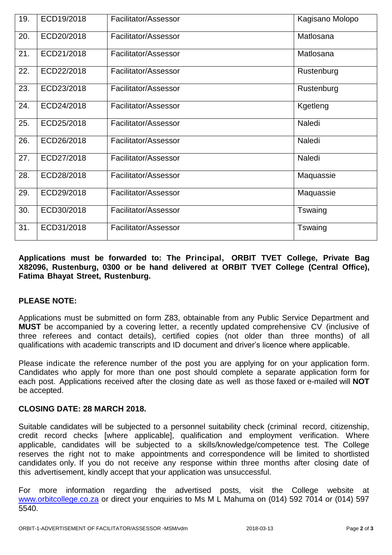| 19. | ECD19/2018 | Facilitator/Assessor | Kagisano Molopo |
|-----|------------|----------------------|-----------------|
| 20. | ECD20/2018 | Facilitator/Assessor | Matlosana       |
| 21. | ECD21/2018 | Facilitator/Assessor | Matlosana       |
| 22. | ECD22/2018 | Facilitator/Assessor | Rustenburg      |
| 23. | ECD23/2018 | Facilitator/Assessor | Rustenburg      |
| 24. | ECD24/2018 | Facilitator/Assessor | Kgetleng        |
| 25. | ECD25/2018 | Facilitator/Assessor | Naledi          |
| 26. | ECD26/2018 | Facilitator/Assessor | Naledi          |
| 27. | ECD27/2018 | Facilitator/Assessor | Naledi          |
| 28. | ECD28/2018 | Facilitator/Assessor | Maquassie       |
| 29. | ECD29/2018 | Facilitator/Assessor | Maquassie       |
| 30. | ECD30/2018 | Facilitator/Assessor | Tswaing         |
| 31. | ECD31/2018 | Facilitator/Assessor | Tswaing         |

## **Applications must be forwarded to: The Principal, ORBIT TVET College, Private Bag X82096, Rustenburg, 0300 or be hand delivered at ORBIT TVET College (Central Office), Fatima Bhayat Street, Rustenburg.**

## **PLEASE NOTE:**

Applications must be submitted on form Z83, obtainable from any Public Service Department and **MUST** be accompanied by a covering letter, a recently updated comprehensive CV (inclusive of three referees and contact details), certified copies (not older than three months) of all qualifications with academic transcripts and ID document and driver's licence where applicable.

Please indicate the reference number of the post you are applying for on your application form. Candidates who apply for more than one post should complete a separate application form for each post. Applications received after the closing date as well as those faxed or e-mailed will **NOT**  be accepted.

## **CLOSING DATE: 28 MARCH 2018.**

Suitable candidates will be subjected to a personnel suitability check (criminal record, citizenship, credit record checks [where applicable], qualification and employment verification. Where applicable, candidates will be subjected to a skills/knowledge/competence test. The College reserves the right not to make appointments and correspondence will be limited to shortlisted candidates only. If you do not receive any response within three months after closing date of this advertisement, kindly accept that your application was unsuccessful.

For more information regarding the advertised posts, visit the College website at [www.orbitcollege.co.za](http://www.orbitcollege.co.za/) or direct your enquiries to Ms M L Mahuma on (014) 592 7014 or (014) 597 5540.